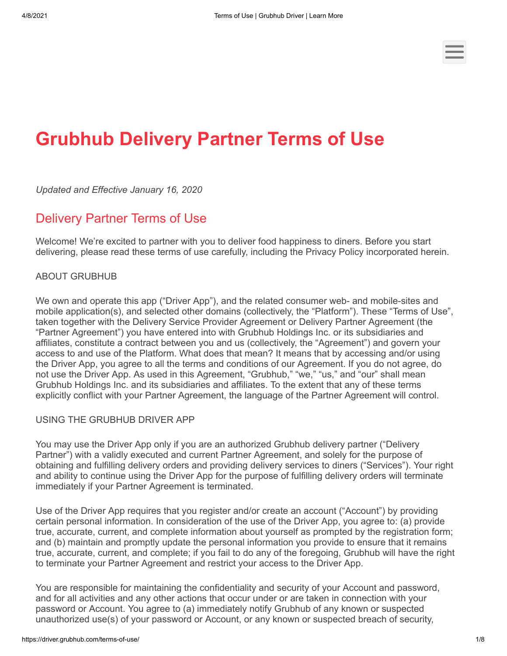# **Grubhub Delivery Partner Terms of Use**

*Updated and Effective January 16, 2020*

## Delivery Partner Terms of Use

Welcome! We're excited to partner with you to deliver food happiness to diners. Before you start delivering, please read these terms of use carefully, including the Privacy Policy incorporated herein.

#### ABOUT GRUBHUB

We own and operate this app ("Driver App"), and the related consumer web- and mobile-sites and mobile application(s), and selected other domains (collectively, the "Platform"). These "Terms of Use", taken together with the Delivery Service Provider Agreement or Delivery Partner Agreement (the "Partner Agreement") you have entered into with Grubhub Holdings Inc. or its subsidiaries and affiliates, constitute a contract between you and us (collectively, the "Agreement") and govern your access to and use of the Platform. What does that mean? It means that by accessing and/or using the Driver App, you agree to all the terms and conditions of our Agreement. If you do not agree, do not use the Driver App. As used in this Agreement, "Grubhub," "we," "us," and "our" shall mean Grubhub Holdings Inc. and its subsidiaries and affiliates. To the extent that any of these terms explicitly conflict with your Partner Agreement, the language of the Partner Agreement will control.

#### USING THE GRUBHUB DRIVER APP

You may use the Driver App only if you are an authorized Grubhub delivery partner ("Delivery Partner") with a validly executed and current Partner Agreement, and solely for the purpose of obtaining and fulfilling delivery orders and providing delivery services to diners ("Services"). Your right and ability to continue using the Driver App for the purpose of fulfilling delivery orders will terminate immediately if your Partner Agreement is terminated.

Use of the Driver App requires that you register and/or create an account ("Account") by providing certain personal information. In consideration of the use of the Driver App, you agree to: (a) provide true, accurate, current, and complete information about yourself as prompted by the registration form; and (b) maintain and promptly update the personal information you provide to ensure that it remains true, accurate, current, and complete; if you fail to do any of the foregoing, Grubhub will have the right to terminate your Partner Agreement and restrict your access to the Driver App.

You are responsible for maintaining the confidentiality and security of your Account and password, and for all activities and any other actions that occur under or are taken in connection with your password or Account. You agree to (a) immediately notify Grubhub of any known or suspected unauthorized use(s) of your password or Account, or any known or suspected breach of security,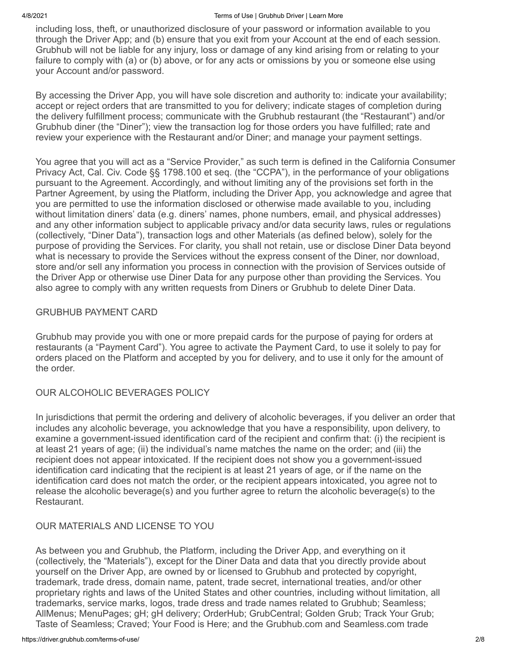including loss, theft, or unauthorized disclosure of your password or information available to you through the Driver App; and (b) ensure that you exit from your Account at the end of each session. Grubhub will not be liable for any injury, loss or damage of any kind arising from or relating to your failure to comply with (a) or (b) above, or for any acts or omissions by you or someone else using your Account and/or password.

By accessing the Driver App, you will have sole discretion and authority to: indicate your availability; accept or reject orders that are transmitted to you for delivery; indicate stages of completion during the delivery fulfillment process; communicate with the Grubhub restaurant (the "Restaurant") and/or Grubhub diner (the "Diner"); view the transaction log for those orders you have fulfilled; rate and review your experience with the Restaurant and/or Diner; and manage your payment settings.

You agree that you will act as a "Service Provider," as such term is defined in the California Consumer Privacy Act, Cal. Civ. Code §§ 1798.100 et seq. (the "CCPA"), in the performance of your obligations pursuant to the Agreement. Accordingly, and without limiting any of the provisions set forth in the Partner Agreement, by using the Platform, including the Driver App, you acknowledge and agree that you are permitted to use the information disclosed or otherwise made available to you, including without limitation diners' data (e.g. diners' names, phone numbers, email, and physical addresses) and any other information subject to applicable privacy and/or data security laws, rules or regulations (collectively, "Diner Data"), transaction logs and other Materials (as defined below), solely for the purpose of providing the Services. For clarity, you shall not retain, use or disclose Diner Data beyond what is necessary to provide the Services without the express consent of the Diner, nor download, store and/or sell any information you process in connection with the provision of Services outside of the Driver App or otherwise use Diner Data for any purpose other than providing the Services. You also agree to comply with any written requests from Diners or Grubhub to delete Diner Data.

#### GRUBHUB PAYMENT CARD

Grubhub may provide you with one or more prepaid cards for the purpose of paying for orders at restaurants (a "Payment Card"). You agree to activate the Payment Card, to use it solely to pay for orders placed on the Platform and accepted by you for delivery, and to use it only for the amount of the order.

#### OUR ALCOHOLIC BEVERAGES POLICY

In jurisdictions that permit the ordering and delivery of alcoholic beverages, if you deliver an order that includes any alcoholic beverage, you acknowledge that you have a responsibility, upon delivery, to examine a government-issued identification card of the recipient and confirm that: (i) the recipient is at least 21 years of age; (ii) the individual's name matches the name on the order; and (iii) the recipient does not appear intoxicated. If the recipient does not show you a government-issued identification card indicating that the recipient is at least 21 years of age, or if the name on the identification card does not match the order, or the recipient appears intoxicated, you agree not to release the alcoholic beverage(s) and you further agree to return the alcoholic beverage(s) to the Restaurant.

### OUR MATERIALS AND LICENSE TO YOU

As between you and Grubhub, the Platform, including the Driver App, and everything on it (collectively, the "Materials"), except for the Diner Data and data that you directly provide about yourself on the Driver App, are owned by or licensed to Grubhub and protected by copyright, trademark, trade dress, domain name, patent, trade secret, international treaties, and/or other proprietary rights and laws of the United States and other countries, including without limitation, all trademarks, service marks, logos, trade dress and trade names related to Grubhub; Seamless; AllMenus; MenuPages; gH; gH delivery; OrderHub; GrubCentral; Golden Grub; Track Your Grub; Taste of Seamless; Craved; Your Food is Here; and the Grubhub.com and Seamless.com trade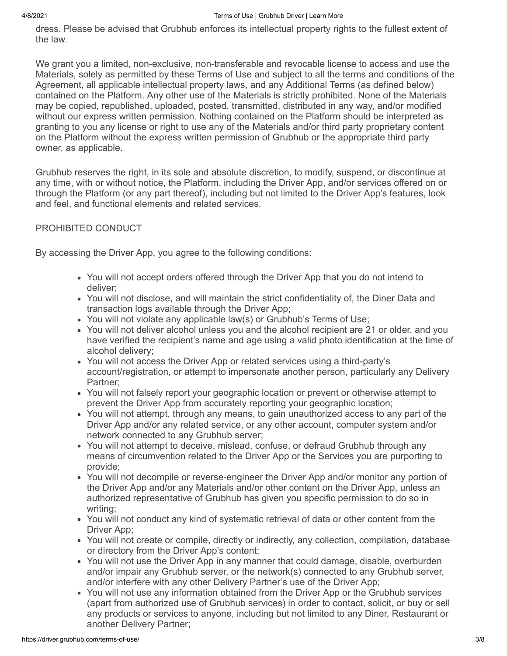dress. Please be advised that Grubhub enforces its intellectual property rights to the fullest extent of the law.

We grant you a limited, non-exclusive, non-transferable and revocable license to access and use the Materials, solely as permitted by these Terms of Use and subject to all the terms and conditions of the Agreement, all applicable intellectual property laws, and any Additional Terms (as defined below) contained on the Platform. Any other use of the Materials is strictly prohibited. None of the Materials may be copied, republished, uploaded, posted, transmitted, distributed in any way, and/or modified without our express written permission. Nothing contained on the Platform should be interpreted as granting to you any license or right to use any of the Materials and/or third party proprietary content on the Platform without the express written permission of Grubhub or the appropriate third party owner, as applicable.

Grubhub reserves the right, in its sole and absolute discretion, to modify, suspend, or discontinue at any time, with or without notice, the Platform, including the Driver App, and/or services offered on or through the Platform (or any part thereof), including but not limited to the Driver App's features, look and feel, and functional elements and related services.

#### PROHIBITED CONDUCT

By accessing the Driver App, you agree to the following conditions:

- You will not accept orders offered through the Driver App that you do not intend to deliver;
- You will not disclose, and will maintain the strict confidentiality of, the Diner Data and transaction logs available through the Driver App;
- You will not violate any applicable law(s) or Grubhub's Terms of Use;
- You will not deliver alcohol unless you and the alcohol recipient are 21 or older, and you have verified the recipient's name and age using a valid photo identification at the time of alcohol delivery;
- You will not access the Driver App or related services using a third-party's account/registration, or attempt to impersonate another person, particularly any Delivery Partner;
- You will not falsely report your geographic location or prevent or otherwise attempt to prevent the Driver App from accurately reporting your geographic location;
- You will not attempt, through any means, to gain unauthorized access to any part of the Driver App and/or any related service, or any other account, computer system and/or network connected to any Grubhub server;
- You will not attempt to deceive, mislead, confuse, or defraud Grubhub through any means of circumvention related to the Driver App or the Services you are purporting to provide;
- You will not decompile or reverse-engineer the Driver App and/or monitor any portion of the Driver App and/or any Materials and/or other content on the Driver App, unless an authorized representative of Grubhub has given you specific permission to do so in writing;
- You will not conduct any kind of systematic retrieval of data or other content from the Driver App;
- You will not create or compile, directly or indirectly, any collection, compilation, database or directory from the Driver App's content;
- You will not use the Driver App in any manner that could damage, disable, overburden and/or impair any Grubhub server, or the network(s) connected to any Grubhub server, and/or interfere with any other Delivery Partner's use of the Driver App;
- You will not use any information obtained from the Driver App or the Grubhub services (apart from authorized use of Grubhub services) in order to contact, solicit, or buy or sell any products or services to anyone, including but not limited to any Diner, Restaurant or another Delivery Partner;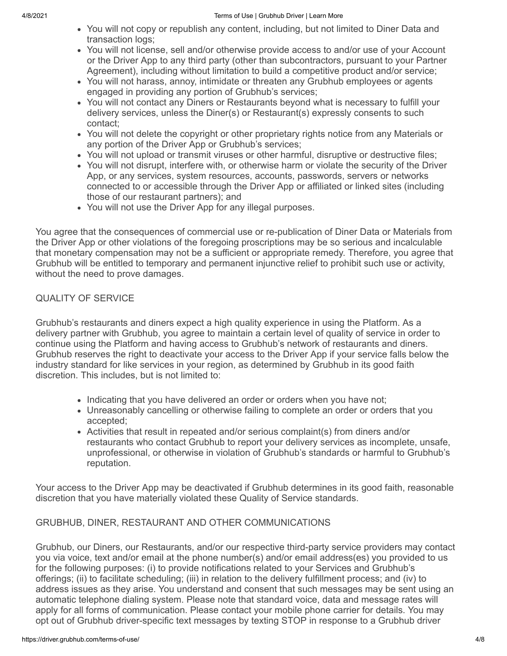- You will not copy or republish any content, including, but not limited to Diner Data and transaction logs;
- You will not license, sell and/or otherwise provide access to and/or use of your Account or the Driver App to any third party (other than subcontractors, pursuant to your Partner Agreement), including without limitation to build a competitive product and/or service;
- You will not harass, annoy, intimidate or threaten any Grubhub employees or agents engaged in providing any portion of Grubhub's services;
- You will not contact any Diners or Restaurants beyond what is necessary to fulfill your delivery services, unless the Diner(s) or Restaurant(s) expressly consents to such contact;
- You will not delete the copyright or other proprietary rights notice from any Materials or any portion of the Driver App or Grubhub's services;
- You will not upload or transmit viruses or other harmful, disruptive or destructive files;
- You will not disrupt, interfere with, or otherwise harm or violate the security of the Driver App, or any services, system resources, accounts, passwords, servers or networks connected to or accessible through the Driver App or affiliated or linked sites (including those of our restaurant partners); and
- You will not use the Driver App for any illegal purposes.

You agree that the consequences of commercial use or re-publication of Diner Data or Materials from the Driver App or other violations of the foregoing proscriptions may be so serious and incalculable that monetary compensation may not be a sufficient or appropriate remedy. Therefore, you agree that Grubhub will be entitled to temporary and permanent injunctive relief to prohibit such use or activity, without the need to prove damages.

### QUALITY OF SERVICE

Grubhub's restaurants and diners expect a high quality experience in using the Platform. As a delivery partner with Grubhub, you agree to maintain a certain level of quality of service in order to continue using the Platform and having access to Grubhub's network of restaurants and diners. Grubhub reserves the right to deactivate your access to the Driver App if your service falls below the industry standard for like services in your region, as determined by Grubhub in its good faith discretion. This includes, but is not limited to:

- Indicating that you have delivered an order or orders when you have not;
- Unreasonably cancelling or otherwise failing to complete an order or orders that you accepted;
- Activities that result in repeated and/or serious complaint(s) from diners and/or restaurants who contact Grubhub to report your delivery services as incomplete, unsafe, unprofessional, or otherwise in violation of Grubhub's standards or harmful to Grubhub's reputation.

Your access to the Driver App may be deactivated if Grubhub determines in its good faith, reasonable discretion that you have materially violated these Quality of Service standards.

### GRUBHUB, DINER, RESTAURANT AND OTHER COMMUNICATIONS

Grubhub, our Diners, our Restaurants, and/or our respective third-party service providers may contact you via voice, text and/or email at the phone number(s) and/or email address(es) you provided to us for the following purposes: (i) to provide notifications related to your Services and Grubhub's offerings; (ii) to facilitate scheduling; (iii) in relation to the delivery fulfillment process; and (iv) to address issues as they arise. You understand and consent that such messages may be sent using an automatic telephone dialing system. Please note that standard voice, data and message rates will apply for all forms of communication. Please contact your mobile phone carrier for details. You may opt out of Grubhub driver-specific text messages by texting STOP in response to a Grubhub driver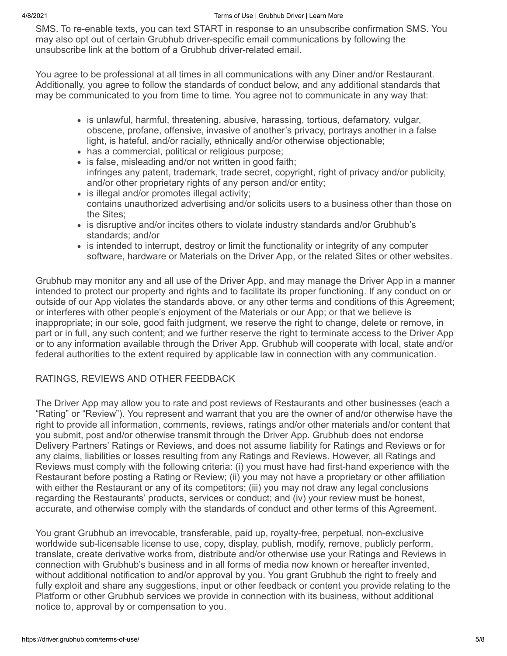SMS. To re-enable texts, you can text START in response to an unsubscribe confirmation SMS. You may also opt out of certain Grubhub driver-specific email communications by following the unsubscribe link at the bottom of a Grubhub driver-related email.

You agree to be professional at all times in all communications with any Diner and/or Restaurant. Additionally, you agree to follow the standards of conduct below, and any additional standards that may be communicated to you from time to time. You agree not to communicate in any way that:

- is unlawful, harmful, threatening, abusive, harassing, tortious, defamatory, vulgar, obscene, profane, offensive, invasive of another's privacy, portrays another in a false light, is hateful, and/or racially, ethnically and/or otherwise objectionable;
- has a commercial, political or religious purpose;
- is false, misleading and/or not written in good faith: infringes any patent, trademark, trade secret, copyright, right of privacy and/or publicity, and/or other proprietary rights of any person and/or entity;
- is illegal and/or promotes illegal activity; contains unauthorized advertising and/or solicits users to a business other than those on the Sites;
- is disruptive and/or incites others to violate industry standards and/or Grubhub's standards; and/or
- is intended to interrupt, destroy or limit the functionality or integrity of any computer software, hardware or Materials on the Driver App, or the related Sites or other websites.

Grubhub may monitor any and all use of the Driver App, and may manage the Driver App in a manner intended to protect our property and rights and to facilitate its proper functioning. If any conduct on or outside of our App violates the standards above, or any other terms and conditions of this Agreement; or interferes with other people's enjoyment of the Materials or our App; or that we believe is inappropriate; in our sole, good faith judgment, we reserve the right to change, delete or remove, in part or in full, any such content; and we further reserve the right to terminate access to the Driver App or to any information available through the Driver App. Grubhub will cooperate with local, state and/or federal authorities to the extent required by applicable law in connection with any communication.

### RATINGS, REVIEWS AND OTHER FEEDBACK

The Driver App may allow you to rate and post reviews of Restaurants and other businesses (each a "Rating" or "Review"). You represent and warrant that you are the owner of and/or otherwise have the right to provide all information, comments, reviews, ratings and/or other materials and/or content that you submit, post and/or otherwise transmit through the Driver App. Grubhub does not endorse Delivery Partners' Ratings or Reviews, and does not assume liability for Ratings and Reviews or for any claims, liabilities or losses resulting from any Ratings and Reviews. However, all Ratings and Reviews must comply with the following criteria: (i) you must have had first-hand experience with the Restaurant before posting a Rating or Review; (ii) you may not have a proprietary or other affiliation with either the Restaurant or any of its competitors; (iii) you may not draw any legal conclusions regarding the Restaurants' products, services or conduct; and (iv) your review must be honest, accurate, and otherwise comply with the standards of conduct and other terms of this Agreement.

You grant Grubhub an irrevocable, transferable, paid up, royalty-free, perpetual, non-exclusive worldwide sub-licensable license to use, copy, display, publish, modify, remove, publicly perform, translate, create derivative works from, distribute and/or otherwise use your Ratings and Reviews in connection with Grubhub's business and in all forms of media now known or hereafter invented, without additional notification to and/or approval by you. You grant Grubhub the right to freely and fully exploit and share any suggestions, input or other feedback or content you provide relating to the Platform or other Grubhub services we provide in connection with its business, without additional notice to, approval by or compensation to you.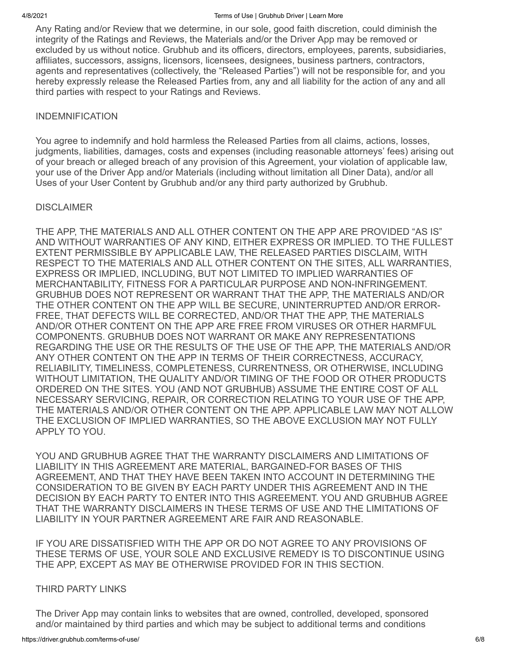Any Rating and/or Review that we determine, in our sole, good faith discretion, could diminish the integrity of the Ratings and Reviews, the Materials and/or the Driver App may be removed or excluded by us without notice. Grubhub and its officers, directors, employees, parents, subsidiaries, affiliates, successors, assigns, licensors, licensees, designees, business partners, contractors, agents and representatives (collectively, the "Released Parties") will not be responsible for, and you hereby expressly release the Released Parties from, any and all liability for the action of any and all third parties with respect to your Ratings and Reviews.

#### INDEMNIFICATION

You agree to indemnify and hold harmless the Released Parties from all claims, actions, losses, judgments, liabilities, damages, costs and expenses (including reasonable attorneys' fees) arising out of your breach or alleged breach of any provision of this Agreement, your violation of applicable law, your use of the Driver App and/or Materials (including without limitation all Diner Data), and/or all Uses of your User Content by Grubhub and/or any third party authorized by Grubhub.

#### **DISCLAIMER**

THE APP, THE MATERIALS AND ALL OTHER CONTENT ON THE APP ARE PROVIDED "AS IS" AND WITHOUT WARRANTIES OF ANY KIND, EITHER EXPRESS OR IMPLIED. TO THE FULLEST EXTENT PERMISSIBLE BY APPLICABLE LAW, THE RELEASED PARTIES DISCLAIM, WITH RESPECT TO THE MATERIALS AND ALL OTHER CONTENT ON THE SITES, ALL WARRANTIES, EXPRESS OR IMPLIED, INCLUDING, BUT NOT LIMITED TO IMPLIED WARRANTIES OF MERCHANTABILITY, FITNESS FOR A PARTICULAR PURPOSE AND NON-INFRINGEMENT. GRUBHUB DOES NOT REPRESENT OR WARRANT THAT THE APP, THE MATERIALS AND/OR THE OTHER CONTENT ON THE APP WILL BE SECURE, UNINTERRUPTED AND/OR ERROR-FREE, THAT DEFECTS WILL BE CORRECTED, AND/OR THAT THE APP, THE MATERIALS AND/OR OTHER CONTENT ON THE APP ARE FREE FROM VIRUSES OR OTHER HARMFUL COMPONENTS. GRUBHUB DOES NOT WARRANT OR MAKE ANY REPRESENTATIONS REGARDING THE USE OR THE RESULTS OF THE USE OF THE APP, THE MATERIALS AND/OR ANY OTHER CONTENT ON THE APP IN TERMS OF THEIR CORRECTNESS, ACCURACY, RELIABILITY, TIMELINESS, COMPLETENESS, CURRENTNESS, OR OTHERWISE, INCLUDING WITHOUT LIMITATION, THE QUALITY AND/OR TIMING OF THE FOOD OR OTHER PRODUCTS ORDERED ON THE SITES. YOU (AND NOT GRUBHUB) ASSUME THE ENTIRE COST OF ALL NECESSARY SERVICING, REPAIR, OR CORRECTION RELATING TO YOUR USE OF THE APP, THE MATERIALS AND/OR OTHER CONTENT ON THE APP. APPLICABLE LAW MAY NOT ALLOW THE EXCLUSION OF IMPLIED WARRANTIES, SO THE ABOVE EXCLUSION MAY NOT FULLY APPLY TO YOU.

YOU AND GRUBHUB AGREE THAT THE WARRANTY DISCLAIMERS AND LIMITATIONS OF LIABILITY IN THIS AGREEMENT ARE MATERIAL, BARGAINED-FOR BASES OF THIS AGREEMENT, AND THAT THEY HAVE BEEN TAKEN INTO ACCOUNT IN DETERMINING THE CONSIDERATION TO BE GIVEN BY EACH PARTY UNDER THIS AGREEMENT AND IN THE DECISION BY EACH PARTY TO ENTER INTO THIS AGREEMENT. YOU AND GRUBHUB AGREE THAT THE WARRANTY DISCLAIMERS IN THESE TERMS OF USE AND THE LIMITATIONS OF LIABILITY IN YOUR PARTNER AGREEMENT ARE FAIR AND REASONABLE.

IF YOU ARE DISSATISFIED WITH THE APP OR DO NOT AGREE TO ANY PROVISIONS OF THESE TERMS OF USE, YOUR SOLE AND EXCLUSIVE REMEDY IS TO DISCONTINUE USING THE APP, EXCEPT AS MAY BE OTHERWISE PROVIDED FOR IN THIS SECTION.

#### THIRD PARTY LINKS

The Driver App may contain links to websites that are owned, controlled, developed, sponsored and/or maintained by third parties and which may be subject to additional terms and conditions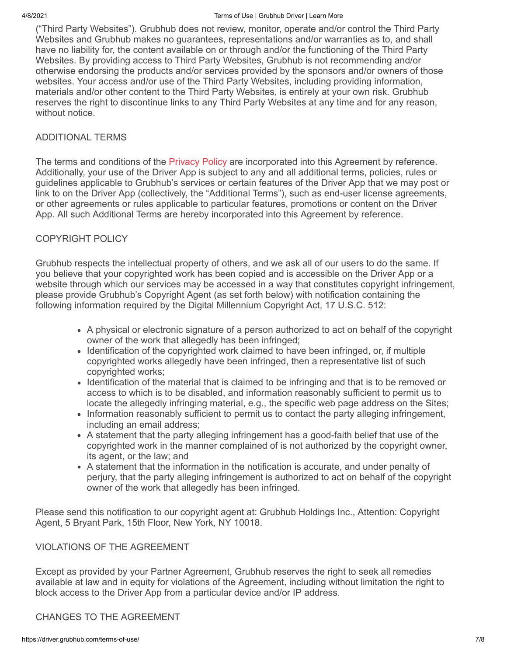#### 4/8/2021 Terms of Use | Grubhub Driver | Learn More

("Third Party Websites"). Grubhub does not review, monitor, operate and/or control the Third Party Websites and Grubhub makes no guarantees, representations and/or warranties as to, and shall have no liability for, the content available on or through and/or the functioning of the Third Party Websites. By providing access to Third Party Websites, Grubhub is not recommending and/or otherwise endorsing the products and/or services provided by the sponsors and/or owners of those websites. Your access and/or use of the Third Party Websites, including providing information, materials and/or other content to the Third Party Websites, is entirely at your own risk. Grubhub reserves the right to discontinue links to any Third Party Websites at any time and for any reason, without notice.

#### ADDITIONAL TERMS

The terms and conditions of the [Privacy Policy](https://driver.grubhub.com/privacy-policy) are incorporated into this Agreement by reference. Additionally, your use of the Driver App is subject to any and all additional terms, policies, rules or guidelines applicable to Grubhub's services or certain features of the Driver App that we may post or link to on the Driver App (collectively, the "Additional Terms"), such as end-user license agreements, or other agreements or rules applicable to particular features, promotions or content on the Driver App. All such Additional Terms are hereby incorporated into this Agreement by reference.

#### COPYRIGHT POLICY

Grubhub respects the intellectual property of others, and we ask all of our users to do the same. If you believe that your copyrighted work has been copied and is accessible on the Driver App or a website through which our services may be accessed in a way that constitutes copyright infringement, please provide Grubhub's Copyright Agent (as set forth below) with notification containing the following information required by the Digital Millennium Copyright Act, 17 U.S.C. 512:

- A physical or electronic signature of a person authorized to act on behalf of the copyright owner of the work that allegedly has been infringed;
- Identification of the copyrighted work claimed to have been infringed, or, if multiple copyrighted works allegedly have been infringed, then a representative list of such copyrighted works;
- Identification of the material that is claimed to be infringing and that is to be removed or access to which is to be disabled, and information reasonably sufficient to permit us to locate the allegedly infringing material, e.g., the specific web page address on the Sites;
- Information reasonably sufficient to permit us to contact the party alleging infringement, including an email address;
- A statement that the party alleging infringement has a good-faith belief that use of the copyrighted work in the manner complained of is not authorized by the copyright owner, its agent, or the law; and
- A statement that the information in the notification is accurate, and under penalty of perjury, that the party alleging infringement is authorized to act on behalf of the copyright owner of the work that allegedly has been infringed.

Please send this notification to our copyright agent at: Grubhub Holdings Inc., Attention: Copyright Agent, 5 Bryant Park, 15th Floor, New York, NY 10018.

#### VIOLATIONS OF THE AGREEMENT

Except as provided by your Partner Agreement, Grubhub reserves the right to seek all remedies available at law and in equity for violations of the Agreement, including without limitation the right to block access to the Driver App from a particular device and/or IP address.

#### CHANGES TO THE AGREEMENT